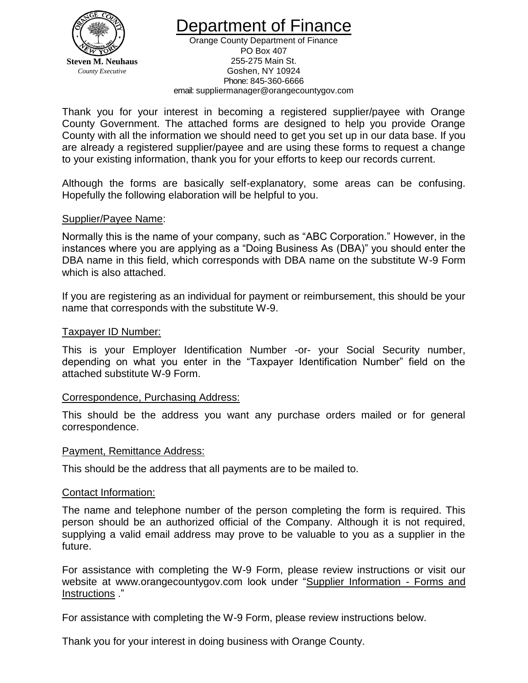

epartment of Finance

Orange County Department of Finance PO Box 407 255-275 Main St. Goshen, NY 10924 Phone: 845-360-6666 email: suppliermanager@orangecountygov.com

Thank you for your interest in becoming a registered supplier/payee with Orange County Government. The attached forms are designed to help you provide Orange County with all the information we should need to get you set up in our data base. If you are already a registered supplier/payee and are using these forms to request a change to your existing information, thank you for your efforts to keep our records current.

Although the forms are basically self-explanatory, some areas can be confusing. Hopefully the following elaboration will be helpful to you.

## Supplier/Payee Name:

Normally this is the name of your company, such as "ABC Corporation." However, in the instances where you are applying as a "Doing Business As (DBA)" you should enter the DBA name in this field, which corresponds with DBA name on the substitute W-9 Form which is also attached.

If you are registering as an individual for payment or reimbursement, this should be your name that corresponds with the substitute W-9.

## Taxpayer ID Number:

This is your Employer Identification Number -or- your Social Security number, depending on what you enter in the "Taxpayer Identification Number" field on the attached substitute W-9 Form.

## Correspondence, Purchasing Address:

This should be the address you want any purchase orders mailed or for general correspondence.

## Payment, Remittance Address:

This should be the address that all payments are to be mailed to.

## Contact Information:

The name and telephone number of the person completing the form is required. This person should be an authorized official of the Company. Although it is not required, supplying a valid email address may prove to be valuable to you as a supplier in the future.

For assistance with completing the W-9 Form, please review instructions or visit our w[ebsite at www.orangecountygov.com](http://www.orangecountygov.com/purchasing) look under ["Supplier Information -](http://www.orangecountygov.com/orgMain.asp?storyID=4392&sid=) Forms and [Instructions](http://www.orangecountygov.com/orgMain.asp?storyID=4392&sid=) ."

For assistance with completing the W-9 Form, please review instructions below.

Thank you for your interest in doing business with Orange County.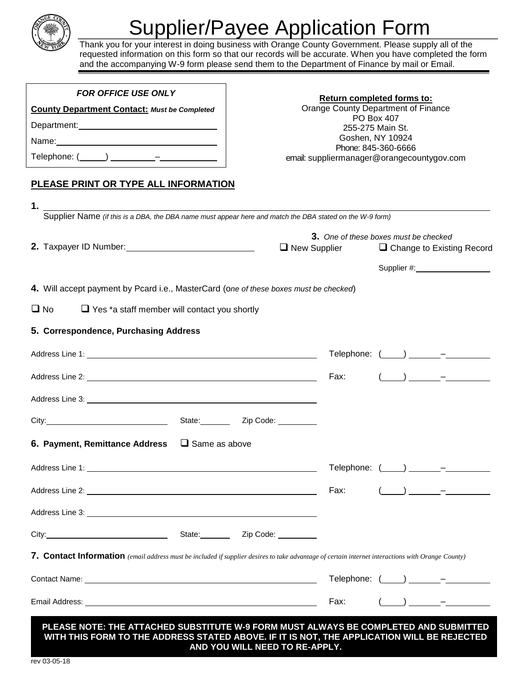

# Supplier/Payee Application Form

Thank you for your interest in doing business with Orange County Government. Please supply all of the requested information on this form so that our records will be accurate. When you have completed the form and the accompanying W-9 form please send them to the Department of Finance by mail or Email.

| <b>FOR OFFICE USE ONLY</b>                          |  |  |  |
|-----------------------------------------------------|--|--|--|
| <b>County Department Contact: Must be Completed</b> |  |  |  |
| Department:                                         |  |  |  |
| Name:                                               |  |  |  |
|                                                     |  |  |  |
| PLEASE PRINT OR TYPE ALL INFORMATION                |  |  |  |

#### **Return completed forms to:**

Orange County Department of Finance PO Box 407 255-275 Main St. Goshen, NY 10924 Phone: 845-360-6666 email: suppliermanager@orangecountygov.com

| 1.                                                                                                                                                                                                                            |                      |                                       |  |                                                                                                                                                                                                                                                                                                                                         |  |
|-------------------------------------------------------------------------------------------------------------------------------------------------------------------------------------------------------------------------------|----------------------|---------------------------------------|--|-----------------------------------------------------------------------------------------------------------------------------------------------------------------------------------------------------------------------------------------------------------------------------------------------------------------------------------------|--|
| Supplier Name (if this is a DBA, the DBA name must appear here and match the DBA stated on the W-9 form)                                                                                                                      |                      |                                       |  |                                                                                                                                                                                                                                                                                                                                         |  |
|                                                                                                                                                                                                                               |                      | 3. One of these boxes must be checked |  |                                                                                                                                                                                                                                                                                                                                         |  |
| 2. Taxpayer ID Number: 1994                                                                                                                                                                                                   |                      | $\Box$ New Supplier                   |  | $\Box$ Change to Existing Record                                                                                                                                                                                                                                                                                                        |  |
|                                                                                                                                                                                                                               |                      |                                       |  | Supplier #: New York Supplier #:                                                                                                                                                                                                                                                                                                        |  |
| 4. Will accept payment by Pcard i.e., MasterCard (one of these boxes must be checked)                                                                                                                                         |                      |                                       |  |                                                                                                                                                                                                                                                                                                                                         |  |
| $\Box$ No<br>$\Box$ Yes *a staff member will contact you shortly                                                                                                                                                              |                      |                                       |  |                                                                                                                                                                                                                                                                                                                                         |  |
| 5. Correspondence, Purchasing Address                                                                                                                                                                                         |                      |                                       |  |                                                                                                                                                                                                                                                                                                                                         |  |
|                                                                                                                                                                                                                               |                      |                                       |  | Telephone: $(\_\_\_) \_\_\_\_$                                                                                                                                                                                                                                                                                                          |  |
|                                                                                                                                                                                                                               |                      | Fax:                                  |  | $\begin{array}{ccc} \hline \end{array}$                                                                                                                                                                                                                                                                                                 |  |
|                                                                                                                                                                                                                               |                      |                                       |  |                                                                                                                                                                                                                                                                                                                                         |  |
| City: City: City: City: City: City: City: City: City: Code: City: Code: City: Code: City: Code: City: City: City: City: City: City: City: City: City: City: City: City: City: City: City: City: City: City: City: City: City: |                      |                                       |  |                                                                                                                                                                                                                                                                                                                                         |  |
| 6. Payment, Remittance Address                                                                                                                                                                                                | $\Box$ Same as above |                                       |  |                                                                                                                                                                                                                                                                                                                                         |  |
|                                                                                                                                                                                                                               |                      |                                       |  | Telephone: (____) ______-_-                                                                                                                                                                                                                                                                                                             |  |
|                                                                                                                                                                                                                               |                      | Fax:                                  |  | $\overline{(-)}$ $\overline{(-)}$ $\overline{(-)}$                                                                                                                                                                                                                                                                                      |  |
|                                                                                                                                                                                                                               |                      |                                       |  |                                                                                                                                                                                                                                                                                                                                         |  |
| City: City: City: City: City: City: City: City: City: City: Code: City: City: Code: City: Code: City: City: City: City: City: City: City: City: City: City: City: City: City: City: City: City: City: City: City: City: City: |                      |                                       |  |                                                                                                                                                                                                                                                                                                                                         |  |
| 7. Contact Information (email address must be included if supplier desires to take advantage of certain internet interactions with Orange County)                                                                             |                      |                                       |  |                                                                                                                                                                                                                                                                                                                                         |  |
|                                                                                                                                                                                                                               |                      |                                       |  | Telephone: $(\_\_\_) \_\_\_\_$                                                                                                                                                                                                                                                                                                          |  |
|                                                                                                                                                                                                                               |                      | Fax:                                  |  | $\left( \begin{array}{ccc} 0 & 0 & 0 \\ 0 & 0 & 0 \\ 0 & 0 & 0 \\ 0 & 0 & 0 \\ 0 & 0 & 0 \\ 0 & 0 & 0 \\ 0 & 0 & 0 \\ 0 & 0 & 0 \\ 0 & 0 & 0 \\ 0 & 0 & 0 \\ 0 & 0 & 0 \\ 0 & 0 & 0 \\ 0 & 0 & 0 \\ 0 & 0 & 0 & 0 \\ 0 & 0 & 0 & 0 \\ 0 & 0 & 0 & 0 \\ 0 & 0 & 0 & 0 \\ 0 & 0 & 0 & 0 & 0 \\ 0 & 0 & 0 & 0 & 0 \\ 0 & 0 & 0 & 0 & 0 \\$ |  |
| PLEASE NOTE: THE ATTACHED SUBSTITUTE W-9 FORM MUST ALWAYS BE COMPLETED AND SUBMITTED                                                                                                                                          |                      |                                       |  |                                                                                                                                                                                                                                                                                                                                         |  |

**PLEASE NOTE: THE ATTACHED SUBSTITUTE W-9 FORM MUST ALWAYS BE COMPLETED AND SUBMITTED WITH THIS FORM TO THE ADDRESS STATED ABOVE. IF IT IS NOT, THE APPLICATION WILL BE REJECTED AND YOU WILL NEED TO RE-APPLY.**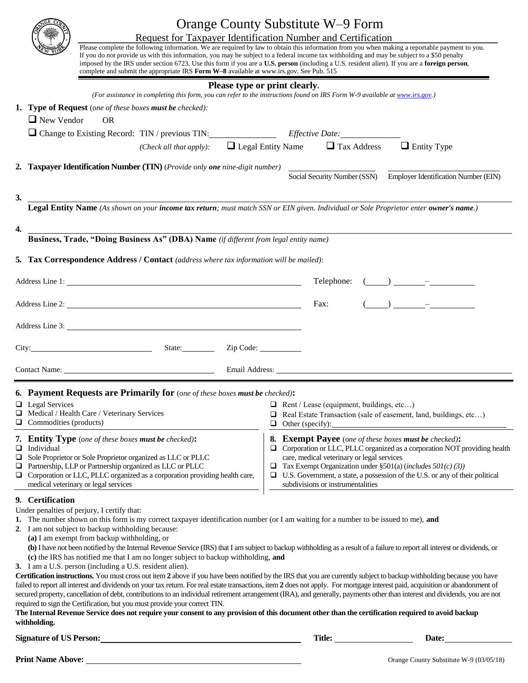| Request for Taxpayer Identification Number and Certification<br>Please complete the following information. We are required by law to obtain this information from you when making a reportable payment to you.<br>If you do not provide us with this information, you may be subject to a federal income tax withholding and may be subject to a \$50 penalty<br>imposed by the IRS under section 6723. Use this form if you are a U.S. person (including a U.S. resident alien). If you are a foreign person,<br>complete and submit the appropriate IRS Form W-8 available at www.irs.gov. See Pub. 515                                                                                                                                                                                                                                                                                                                                                                                                                                                                                                                                                                                                                                                                                                                                                                                                                                    | Orange County Substitute W-9 Form<br>Please type or print clearly.                                                                                                                                                  |                                                                                                                                                                 |
|----------------------------------------------------------------------------------------------------------------------------------------------------------------------------------------------------------------------------------------------------------------------------------------------------------------------------------------------------------------------------------------------------------------------------------------------------------------------------------------------------------------------------------------------------------------------------------------------------------------------------------------------------------------------------------------------------------------------------------------------------------------------------------------------------------------------------------------------------------------------------------------------------------------------------------------------------------------------------------------------------------------------------------------------------------------------------------------------------------------------------------------------------------------------------------------------------------------------------------------------------------------------------------------------------------------------------------------------------------------------------------------------------------------------------------------------|---------------------------------------------------------------------------------------------------------------------------------------------------------------------------------------------------------------------|-----------------------------------------------------------------------------------------------------------------------------------------------------------------|
| (For assistance in completing this form, you can refer to the instructions found on IRS Form W-9 available at www.irs.gov.)                                                                                                                                                                                                                                                                                                                                                                                                                                                                                                                                                                                                                                                                                                                                                                                                                                                                                                                                                                                                                                                                                                                                                                                                                                                                                                                  |                                                                                                                                                                                                                     |                                                                                                                                                                 |
| 1. Type of Request (one of these boxes must be checked):<br>$\Box$ New Vendor<br><b>OR</b>                                                                                                                                                                                                                                                                                                                                                                                                                                                                                                                                                                                                                                                                                                                                                                                                                                                                                                                                                                                                                                                                                                                                                                                                                                                                                                                                                   |                                                                                                                                                                                                                     |                                                                                                                                                                 |
| Change to Existing Record: TIN / previous TIN: Effective Date:                                                                                                                                                                                                                                                                                                                                                                                                                                                                                                                                                                                                                                                                                                                                                                                                                                                                                                                                                                                                                                                                                                                                                                                                                                                                                                                                                                               |                                                                                                                                                                                                                     |                                                                                                                                                                 |
|                                                                                                                                                                                                                                                                                                                                                                                                                                                                                                                                                                                                                                                                                                                                                                                                                                                                                                                                                                                                                                                                                                                                                                                                                                                                                                                                                                                                                                              | (Check all that apply): $\Box$ Legal Entity Name $\Box$ Tax Address $\Box$ Entity Type                                                                                                                              |                                                                                                                                                                 |
|                                                                                                                                                                                                                                                                                                                                                                                                                                                                                                                                                                                                                                                                                                                                                                                                                                                                                                                                                                                                                                                                                                                                                                                                                                                                                                                                                                                                                                              |                                                                                                                                                                                                                     |                                                                                                                                                                 |
| 2. Taxpayer Identification Number (TIN) (Provide only one nine-digit number)                                                                                                                                                                                                                                                                                                                                                                                                                                                                                                                                                                                                                                                                                                                                                                                                                                                                                                                                                                                                                                                                                                                                                                                                                                                                                                                                                                 |                                                                                                                                                                                                                     | Social Security Number (SSN) Employer Identification Number (EIN)                                                                                               |
|                                                                                                                                                                                                                                                                                                                                                                                                                                                                                                                                                                                                                                                                                                                                                                                                                                                                                                                                                                                                                                                                                                                                                                                                                                                                                                                                                                                                                                              |                                                                                                                                                                                                                     |                                                                                                                                                                 |
| 3.<br>Legal Entity Name (As shown on your income tax return; must match SSN or EIN given. Individual or Sole Proprietor enter owner's name.)                                                                                                                                                                                                                                                                                                                                                                                                                                                                                                                                                                                                                                                                                                                                                                                                                                                                                                                                                                                                                                                                                                                                                                                                                                                                                                 |                                                                                                                                                                                                                     |                                                                                                                                                                 |
|                                                                                                                                                                                                                                                                                                                                                                                                                                                                                                                                                                                                                                                                                                                                                                                                                                                                                                                                                                                                                                                                                                                                                                                                                                                                                                                                                                                                                                              |                                                                                                                                                                                                                     |                                                                                                                                                                 |
| 4.<br><b>Business, Trade, "Doing Business As" (DBA) Name</b> (if different from legal entity name)                                                                                                                                                                                                                                                                                                                                                                                                                                                                                                                                                                                                                                                                                                                                                                                                                                                                                                                                                                                                                                                                                                                                                                                                                                                                                                                                           |                                                                                                                                                                                                                     |                                                                                                                                                                 |
|                                                                                                                                                                                                                                                                                                                                                                                                                                                                                                                                                                                                                                                                                                                                                                                                                                                                                                                                                                                                                                                                                                                                                                                                                                                                                                                                                                                                                                              |                                                                                                                                                                                                                     |                                                                                                                                                                 |
| <b>5. Tax Correspondence Address / Contact</b> (address where tax information will be mailed):                                                                                                                                                                                                                                                                                                                                                                                                                                                                                                                                                                                                                                                                                                                                                                                                                                                                                                                                                                                                                                                                                                                                                                                                                                                                                                                                               |                                                                                                                                                                                                                     |                                                                                                                                                                 |
|                                                                                                                                                                                                                                                                                                                                                                                                                                                                                                                                                                                                                                                                                                                                                                                                                                                                                                                                                                                                                                                                                                                                                                                                                                                                                                                                                                                                                                              |                                                                                                                                                                                                                     | Telephone: $(\_\_\_\_\_\_$                                                                                                                                      |
|                                                                                                                                                                                                                                                                                                                                                                                                                                                                                                                                                                                                                                                                                                                                                                                                                                                                                                                                                                                                                                                                                                                                                                                                                                                                                                                                                                                                                                              |                                                                                                                                                                                                                     |                                                                                                                                                                 |
|                                                                                                                                                                                                                                                                                                                                                                                                                                                                                                                                                                                                                                                                                                                                                                                                                                                                                                                                                                                                                                                                                                                                                                                                                                                                                                                                                                                                                                              | Fax:                                                                                                                                                                                                                | $\overline{(-)}$ $\overline{(-)}$                                                                                                                               |
| Address Line 3:                                                                                                                                                                                                                                                                                                                                                                                                                                                                                                                                                                                                                                                                                                                                                                                                                                                                                                                                                                                                                                                                                                                                                                                                                                                                                                                                                                                                                              |                                                                                                                                                                                                                     |                                                                                                                                                                 |
| City: City: City: City: City: City: City: City: City: City: City: City: City: City: City: City: City: City: City: City: City: City: City: City: City: City: City: City: City: City: City: City: City: City: City: City: City:                                                                                                                                                                                                                                                                                                                                                                                                                                                                                                                                                                                                                                                                                                                                                                                                                                                                                                                                                                                                                                                                                                                                                                                                                |                                                                                                                                                                                                                     |                                                                                                                                                                 |
|                                                                                                                                                                                                                                                                                                                                                                                                                                                                                                                                                                                                                                                                                                                                                                                                                                                                                                                                                                                                                                                                                                                                                                                                                                                                                                                                                                                                                                              |                                                                                                                                                                                                                     |                                                                                                                                                                 |
| Contact Name: Contact Name: Contact Name: Contact Name: Contact Name: Contact Name: Contact Name: Contact Name: Contact Name: Contact Name: Contact Name: Contact Name: Contact Name: Contact Name: Contact Name: Contact Name                                                                                                                                                                                                                                                                                                                                                                                                                                                                                                                                                                                                                                                                                                                                                                                                                                                                                                                                                                                                                                                                                                                                                                                                               |                                                                                                                                                                                                                     |                                                                                                                                                                 |
| Payment Requests are Primarily for (one of these boxes must be checked):<br>6.<br>$\Box$ Legal Services<br>Medical / Health Care / Veterinary Services<br>⊔<br>Commodities (products)<br>$\Box$                                                                                                                                                                                                                                                                                                                                                                                                                                                                                                                                                                                                                                                                                                                                                                                                                                                                                                                                                                                                                                                                                                                                                                                                                                              | $\Box$ Rent / Lease (equipment, buildings, etc)<br>o<br>Other (specify):<br>⊔                                                                                                                                       | Real Estate Transaction (sale of easement, land, buildings, etc)                                                                                                |
| 7. Entity Type (one of these boxes must be checked):<br>$\Box$<br>Individual<br>Sole Proprietor or Sole Proprietor organized as LLC or PLLC<br>❏<br>Partnership, LLP or Partnership organized as LLC or PLLC<br>❏<br>Corporation or LLC, PLLC organized as a corporation providing health care,<br>⊔<br>medical veterinary or legal services                                                                                                                                                                                                                                                                                                                                                                                                                                                                                                                                                                                                                                                                                                                                                                                                                                                                                                                                                                                                                                                                                                 | <b>Exempt Payee</b> (one of these boxes must be checked):<br>8.<br>care, medical veterinary or legal services<br>Tax Exempt Organization under §501(a) (includes $50I(c)$ (3))<br>subdivisions or instrumentalities | $\Box$ Corporation or LLC, PLLC organized as a corporation NOT providing health<br>U.S. Government, a state, a possession of the U.S. or any of their political |
| 9. Certification<br>Under penalties of perjury, I certify that:<br>1. The number shown on this form is my correct taxpayer identification number (or I am waiting for a number to be issued to me), and<br>2. I am not subject to backup withholding because:<br>(a) I am exempt from backup withholding, or<br>(b) I have not been notified by the Internal Revenue Service (IRS) that I am subject to backup withholding as a result of a failure to report all interest or dividends, or<br>(c) the IRS has notified me that I am no longer subject to backup withholding, and<br>3. I am a U.S. person (including a U.S. resident alien).<br>Certification instructions. You must cross out item 2 above if you have been notified by the IRS that you are currently subject to backup withholding because you have<br>failed to report all interest and dividends on your tax return. For real estate transactions, item 2 does not apply. For mortgage interest paid, acquisition or abandonment of<br>secured property, cancellation of debt, contributions to an individual retirement arrangement (IRA), and generally, payments other than interest and dividends, you are not<br>required to sign the Certification, but you must provide your correct TIN.<br>The Internal Revenue Service does not require your consent to any provision of this document other than the certification required to avoid backup<br>withholding. |                                                                                                                                                                                                                     |                                                                                                                                                                 |
| <b>Signature of US Person:</b>                                                                                                                                                                                                                                                                                                                                                                                                                                                                                                                                                                                                                                                                                                                                                                                                                                                                                                                                                                                                                                                                                                                                                                                                                                                                                                                                                                                                               | <b>Title:</b>                                                                                                                                                                                                       | Date:                                                                                                                                                           |

**Print Name Above:** Orange County Substitute W-9 (03/05/18)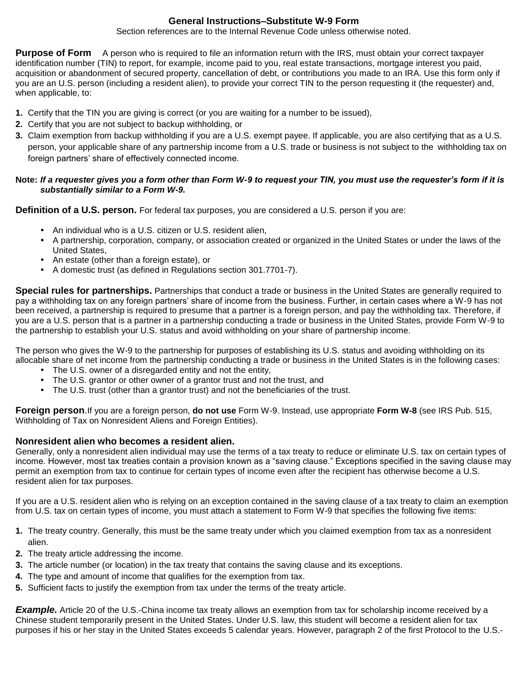## **General Instructions–Substitute W-9 Form**

Section references are to the Internal Revenue Code unless otherwise noted.

**Purpose of Form** A person who is required to file an information return with the IRS, must obtain your correct taxpayer identification number (TIN) to report, for example, income paid to you, real estate transactions, mortgage interest you paid, acquisition or abandonment of secured property, cancellation of debt, or contributions you made to an IRA. Use this form only if you are an U.S. person (including a resident alien), to provide your correct TIN to the person requesting it (the requester) and, when applicable, to:

- **1.** Certify that the TIN you are giving is correct (or you are waiting for a number to be issued),
- **2.** Certify that you are not subject to backup withholding, or
- **3.** Claim exemption from backup withholding if you are a U.S. exempt payee. If applicable, you are also certifying that as a U.S. person, your applicable share of any partnership income from a U.S. trade or business is not subject to the withholding tax on foreign partners' share of effectively connected income.

#### **Note:** *If a requester gives you a form other than Form W-9 to request your TIN, you must use the requester's form if it is substantially similar to a Form W-9.*

**Definition of a U.S. person.** For federal tax purposes, you are considered a U.S. person if you are:

- An individual who is a U.S. citizen or U.S. resident alien,
- A partnership, corporation, company, or association created or organized in the United States or under the laws of the United States,
- An estate (other than a foreign estate), or
- A domestic trust (as defined in Regulations section 301.7701-7).

**Special rules for partnerships.** Partnerships that conduct a trade or business in the United States are generally required to pay a withholding tax on any foreign partners' share of income from the business. Further, in certain cases where a W-9 has not been received, a partnership is required to presume that a partner is a foreign person, and pay the withholding tax. Therefore, if you are a U.S. person that is a partner in a partnership conducting a trade or business in the United States, provide Form W-9 to the partnership to establish your U.S. status and avoid withholding on your share of partnership income.

The person who gives the W-9 to the partnership for purposes of establishing its U.S. status and avoiding withholding on its allocable share of net income from the partnership conducting a trade or business in the United States is in the following cases:

- The U.S. owner of a disregarded entity and not the entity,
- The U.S. grantor or other owner of a grantor trust and not the trust, and
- The U.S. trust (other than a grantor trust) and not the beneficiaries of the trust.

**Foreign person**.If you are a foreign person, **do not use** Form W-9. Instead, use appropriate **Form W-8** (see IRS Pub. 515, Withholding of Tax on Nonresident Aliens and Foreign Entities).

## **Nonresident alien who becomes a resident alien.**

Generally, only a nonresident alien individual may use the terms of a tax treaty to reduce or eliminate U.S. tax on certain types of income. However, most tax treaties contain a provision known as a "saving clause." Exceptions specified in the saving clause may permit an exemption from tax to continue for certain types of income even after the recipient has otherwise become a U.S. resident alien for tax purposes.

If you are a U.S. resident alien who is relying on an exception contained in the saving clause of a tax treaty to claim an exemption from U.S. tax on certain types of income, you must attach a statement to Form W-9 that specifies the following five items:

- **1.** The treaty country. Generally, this must be the same treaty under which you claimed exemption from tax as a nonresident alien.
- **2.** The treaty article addressing the income.
- **3.** The article number (or location) in the tax treaty that contains the saving clause and its exceptions.
- **4.** The type and amount of income that qualifies for the exemption from tax.
- **5.** Sufficient facts to justify the exemption from tax under the terms of the treaty article.

*Example.* Article 20 of the U.S.-China income tax treaty allows an exemption from tax for scholarship income received by a Chinese student temporarily present in the United States. Under U.S. law, this student will become a resident alien for tax purposes if his or her stay in the United States exceeds 5 calendar years. However, paragraph 2 of the first Protocol to the U.S.-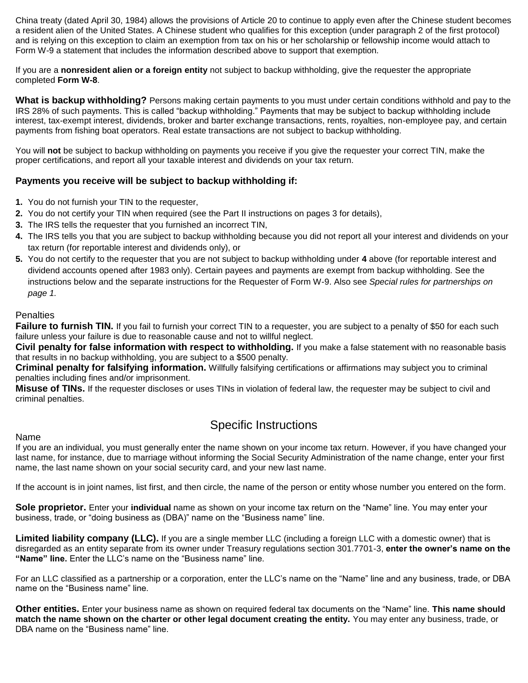China treaty (dated April 30, 1984) allows the provisions of Article 20 to continue to apply even after the Chinese student becomes a resident alien of the United States. A Chinese student who qualifies for this exception (under paragraph 2 of the first protocol) and is relying on this exception to claim an exemption from tax on his or her scholarship or fellowship income would attach to Form W-9 a statement that includes the information described above to support that exemption.

If you are a **nonresident alien or a foreign entity** not subject to backup withholding, give the requester the appropriate completed **Form W-8**.

**What is backup withholding?** Persons making certain payments to you must under certain conditions withhold and pay to the IRS 28% of such payments. This is called "backup withholding." Payments that may be subject to backup withholding include interest, tax-exempt interest, dividends, broker and barter exchange transactions, rents, royalties, non-employee pay, and certain payments from fishing boat operators. Real estate transactions are not subject to backup withholding.

You will **not** be subject to backup withholding on payments you receive if you give the requester your correct TIN, make the proper certifications, and report all your taxable interest and dividends on your tax return.

## **Payments you receive will be subject to backup withholding if:**

- **1.** You do not furnish your TIN to the requester,
- **2.** You do not certify your TIN when required (see the Part II instructions on pages 3 for details),
- **3.** The IRS tells the requester that you furnished an incorrect TIN,
- **4.** The IRS tells you that you are subject to backup withholding because you did not report all your interest and dividends on your tax return (for reportable interest and dividends only), or
- **5.** You do not certify to the requester that you are not subject to backup withholding under **4** above (for reportable interest and dividend accounts opened after 1983 only). Certain payees and payments are exempt from backup withholding. See the instructions below and the separate instructions for the Requester of Form W-9. Also see *Special rules for partnerships on page 1.*

#### **Penalties**

Failure to furnish TIN. If you fail to furnish your correct TIN to a requester, you are subject to a penalty of \$50 for each such failure unless your failure is due to reasonable cause and not to willful neglect.

**Civil penalty for false information with respect to withholding.** If you make a false statement with no reasonable basis that results in no backup withholding, you are subject to a \$500 penalty.

**Criminal penalty for falsifying information.** Willfully falsifying certifications or affirmations may subject you to criminal penalties including fines and/or imprisonment.

**Misuse of TINs.** If the requester discloses or uses TINs in violation of federal law, the requester may be subject to civil and criminal penalties.

## Specific Instructions

#### Name

If you are an individual, you must generally enter the name shown on your income tax return. However, if you have changed your last name, for instance, due to marriage without informing the Social Security Administration of the name change, enter your first name, the last name shown on your social security card, and your new last name.

If the account is in joint names, list first, and then circle, the name of the person or entity whose number you entered on the form.

**Sole proprietor.** Enter your **individual** name as shown on your income tax return on the "Name" line. You may enter your business, trade, or "doing business as (DBA)" name on the "Business name" line.

**Limited liability company (LLC).** If you are a single member LLC (including a foreign LLC with a domestic owner) that is disregarded as an entity separate from its owner under Treasury regulations section 301.7701-3, **enter the owner's name on the "Name" line.** Enter the LLC's name on the "Business name" line.

For an LLC classified as a partnership or a corporation, enter the LLC's name on the "Name" line and any business, trade, or DBA name on the "Business name" line.

**Other entities.** Enter your business name as shown on required federal tax documents on the "Name" line. **This name should match the name shown on the charter or other legal document creating the entity.** You may enter any business, trade, or DBA name on the "Business name" line.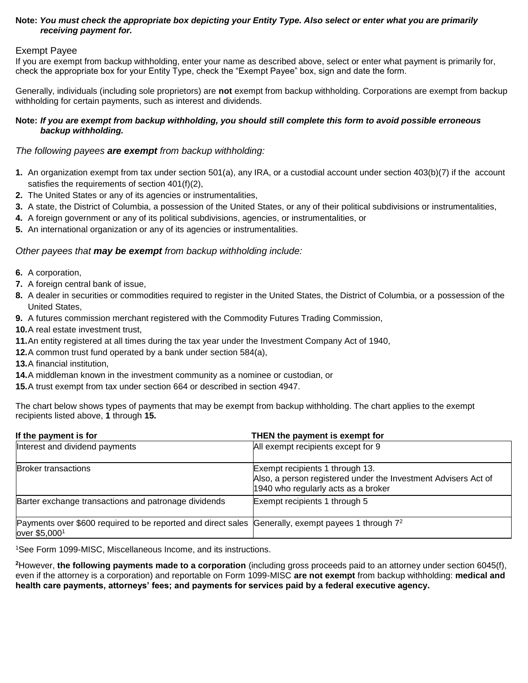#### **Note:** *You must check the appropriate box depicting your Entity Type. Also select or enter what you are primarily receiving payment for.*

#### Exempt Payee

If you are exempt from backup withholding, enter your name as described above, select or enter what payment is primarily for, check the appropriate box for your Entity Type, check the "Exempt Payee" box, sign and date the form.

Generally, individuals (including sole proprietors) are **not** exempt from backup withholding. Corporations are exempt from backup withholding for certain payments, such as interest and dividends.

#### **Note:** *If you are exempt from backup withholding, you should still complete this form to avoid possible erroneous backup withholding.*

## *The following payees are exempt from backup withholding:*

- **1.** An organization exempt from tax under section 501(a), any IRA, or a custodial account under section 403(b)(7) if the account satisfies the requirements of section 401(f)(2),
- **2.** The United States or any of its agencies or instrumentalities,
- **3.** A state, the District of Columbia, a possession of the United States, or any of their political subdivisions or instrumentalities,
- **4.** A foreign government or any of its political subdivisions, agencies, or instrumentalities, or
- **5.** An international organization or any of its agencies or instrumentalities.

#### *Other payees that may be exempt from backup withholding include:*

- **6.** A corporation,
- **7.** A foreign central bank of issue,
- **8.** A dealer in securities or commodities required to register in the United States, the District of Columbia, or a possession of the United States,
- **9.** A futures commission merchant registered with the Commodity Futures Trading Commission,
- **10.**A real estate investment trust,
- **11.**An entity registered at all times during the tax year under the Investment Company Act of 1940,
- **12.**A common trust fund operated by a bank under section 584(a),
- **13.**A financial institution,
- **14.**A middleman known in the investment community as a nominee or custodian, or
- **15.**A trust exempt from tax under section 664 or described in section 4947.

The chart below shows types of payments that may be exempt from backup withholding. The chart applies to the exempt recipients listed above, **1** through **15.**

| If the payment is for                                                                                                           | THEN the payment is exempt for                                                                                                           |
|---------------------------------------------------------------------------------------------------------------------------------|------------------------------------------------------------------------------------------------------------------------------------------|
| Interest and dividend payments                                                                                                  | All exempt recipients except for 9                                                                                                       |
| <b>Broker transactions</b>                                                                                                      | Exempt recipients 1 through 13.<br>Also, a person registered under the Investment Advisers Act of<br>1940 who regularly acts as a broker |
| Barter exchange transactions and patronage dividends                                                                            | Exempt recipients 1 through 5                                                                                                            |
| Payments over \$600 required to be reported and direct sales Generally, exempt payees 1 through 7 <sup>2</sup><br>over \$5,0001 |                                                                                                                                          |

<sup>1</sup>See Form 1099-MISC, Miscellaneous Income, and its instructions.

**<sup>2</sup>**However, **the following payments made to a corporation** (including gross proceeds paid to an attorney under section 6045(f), even if the attorney is a corporation) and reportable on Form 1099-MISC **are not exempt** from backup withholding: **medical and health care payments, attorneys' fees; and payments for services paid by a federal executive agency.**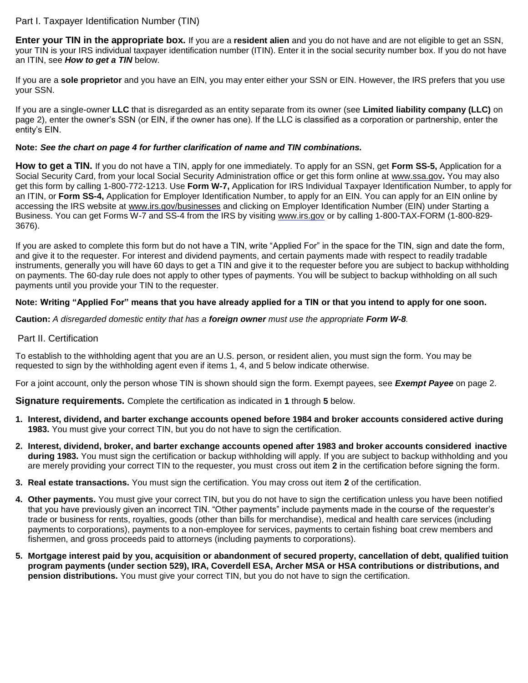## Part I. Taxpayer Identification Number (TIN)

**Enter your TIN in the appropriate box.** If you are a **resident alien** and you do not have and are not eligible to get an SSN, your TIN is your IRS individual taxpayer identification number (ITIN). Enter it in the social security number box. If you do not have an ITIN, see *How to get a TIN* below.

If you are a **sole proprietor** and you have an EIN, you may enter either your SSN or EIN. However, the IRS prefers that you use your SSN.

If you are a single-owner **LLC** that is disregarded as an entity separate from its owner (see **Limited liability company (LLC)** on page 2), enter the owner's SSN (or EIN, if the owner has one). If the LLC is classified as a corporation or partnership, enter the entity's EIN.

#### **Note:** *See the chart on page 4 for further clarification of name and TIN combinations.*

**How to get a TIN.** If you do not have a TIN, apply for one immediately. To apply for an SSN, get **Form SS-5,** Application for a Social Security Card, from your local Social Security Administration office or get this form online at www.ssa.gov**.** You may also get this form by calling 1-800-772-1213. Use **Form W-7,** Application for IRS Individual Taxpayer Identification Number, to apply for an ITIN, or **Form SS-4,** Application for Employer Identification Number, to apply for an EIN. You can apply for an EIN online by accessing the IRS website at www.irs.gov/businesses and clicking on Employer Identification Number (EIN) under Starting a Business. You can get Forms W-7 and SS-4 from the IRS by visiting www.irs.gov or by calling 1-800-TAX-FORM (1-800-829-3676).

If you are asked to complete this form but do not have a TIN, write "Applied For" in the space for the TIN, sign and date the form, and give it to the requester. For interest and dividend payments, and certain payments made with respect to readily tradable instruments, generally you will have 60 days to get a TIN and give it to the requester before you are subject to backup withholding on payments. The 60-day rule does not apply to other types of payments. You will be subject to backup withholding on all such payments until you provide your TIN to the requester.

#### **Note: Writing "Applied For" means that you have already applied for a TIN or that you intend to apply for one soon.**

**Caution:** *A disregarded domestic entity that has a foreign owner must use the appropriate Form W-8.* 

#### Part II. Certification

To establish to the withholding agent that you are an U.S. person, or resident alien, you must sign the form. You may be requested to sign by the withholding agent even if items 1, 4, and 5 below indicate otherwise.

For a joint account, only the person whose TIN is shown should sign the form. Exempt payees, see *Exempt Payee* on page 2.

**Signature requirements.** Complete the certification as indicated in **1** through **5** below.

- **1. Interest, dividend, and barter exchange accounts opened before 1984 and broker accounts considered active during 1983.** You must give your correct TIN, but you do not have to sign the certification.
- **2. Interest, dividend, broker, and barter exchange accounts opened after 1983 and broker accounts considered inactive during 1983.** You must sign the certification or backup withholding will apply. If you are subject to backup withholding and you are merely providing your correct TIN to the requester, you must cross out item **2** in the certification before signing the form.
- **3. Real estate transactions.** You must sign the certification. You may cross out item **2** of the certification.
- **4. Other payments.** You must give your correct TIN, but you do not have to sign the certification unless you have been notified that you have previously given an incorrect TIN. "Other payments" include payments made in the course of the requester's trade or business for rents, royalties, goods (other than bills for merchandise), medical and health care services (including payments to corporations), payments to a non-employee for services, payments to certain fishing boat crew members and fishermen, and gross proceeds paid to attorneys (including payments to corporations).
- **5. Mortgage interest paid by you, acquisition or abandonment of secured property, cancellation of debt, qualified tuition program payments (under section 529), IRA, Coverdell ESA, Archer MSA or HSA contributions or distributions, and pension distributions.** You must give your correct TIN, but you do not have to sign the certification.